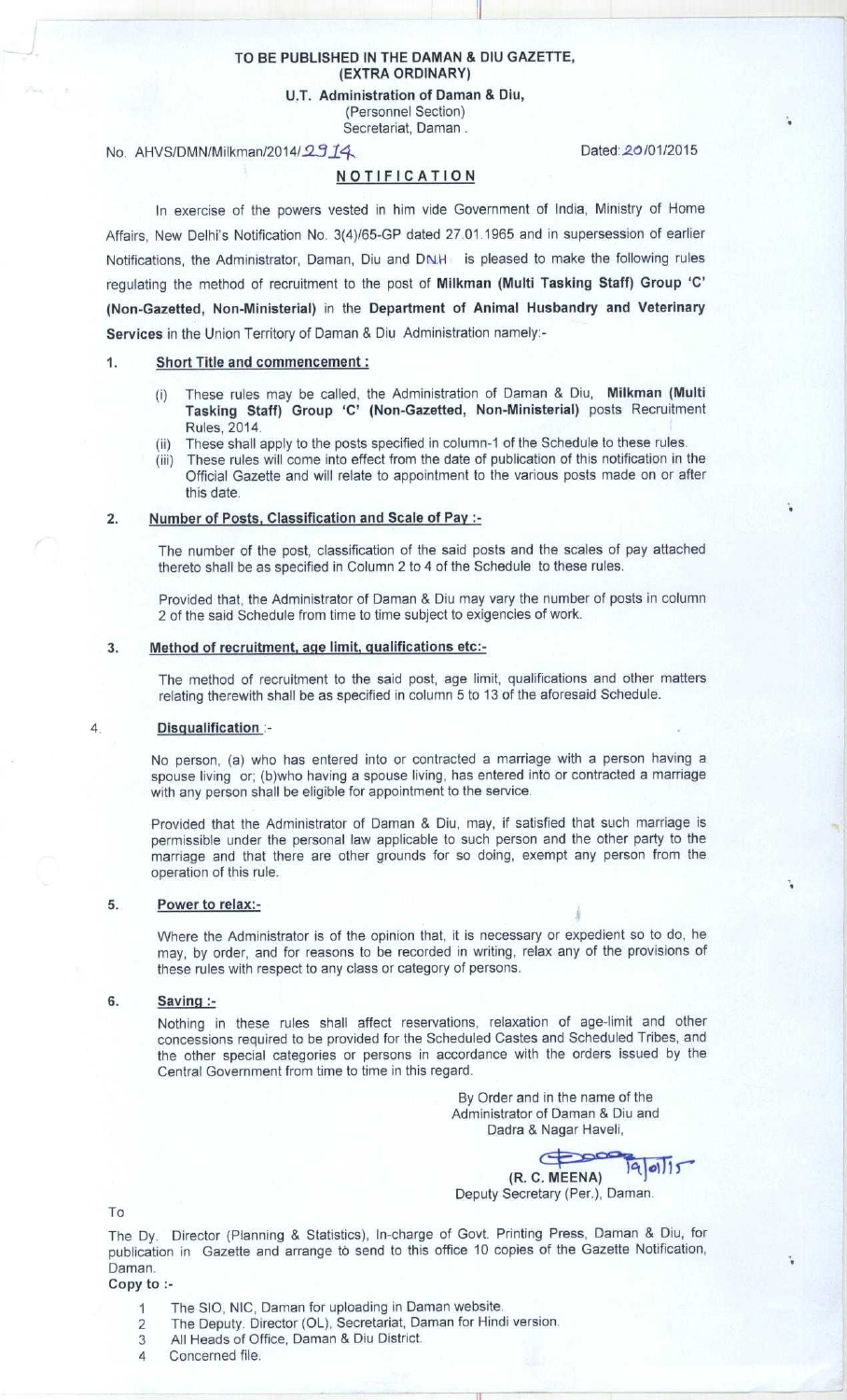### **TO BE PUBLISHED IN THE DAMAN** & DIU GAZETTE, (EXTRA **ORDINARY)**

**U.T. Administration of Daman & Diu,** (Personnel Section)

Secretariat, Daman .

# No. AHVS/DMN/Milkman/2014/2914

# NOTIFICATION

Dated: 20/01/2015

In exercise of the powers vested in him vide Government of India, Ministry of Home Affairs, New Delhi's Notification No. 3(4)/65-GP dated 27.01.1965 and in supersession of earlier Notifications, the Administrator, Daman, Diu and DN.H is pleased to make the following rules regulating the method of recruitment to the post of **Milkman** ( **Multi Tasking Staff**) **Group 'C' (Non-Gazetted** , **Non-Ministerial** ) **in the Department of Animal Husbandry and Veterinary Services** in the Union Territory of Daman & Diu Administration namely:-

## 1. Short Title **and commencement:**

- (i) These rules may be called, the Administration of Daman & Diu, Milkman (Multi **Tasking Staff**) **Group** `C' (Non-**Gazetted** , **Non-Ministerial**) posts Recruitment Rules, 2014.
- (ii) These shall apply to the posts specified in column-1 of the Schedule to these rules.
- (iii) These rules will come into effect from the date of publication of this notification in the Official Gazette and will relate to appointment to the various posts made on or after this date.

#### **2. Number of Posts** , **Classification and Scale of Pay :**

The number **of the post**, **classification of the said posts and the scales of pay attached** thereto **shall be as specified** in Column 2 to 4 of the Schedule **to these rules.**

Provided that, the Administrator of Daman & Diu may vary the number of posts in column 2 of the said Schedule from time to time subject to exigencies of work.

# 3. Method of recruitment, age limit, qualifications etc:-

The method of recruitment to the said post, **age limit**, qualifications and other matters relating therewith shall be as specified in column 5 to 13 of the aforesaid Schedule.

#### **4. Disqualification**

No person, (a) who has entered into or contracted a marriage with a person having a spouse living or; (b)who having a spouse living, has entered into or contracted a marriage with any person shall be eligible for appointment to the service.

Provided that the Administrator of Daman & Diu, may, if satisfied that such marriage is permissible under the personal law applicable to such person and the other party to the marriage and that there are other grounds for so doing, exempt any person from the operation of this rule.

#### **5. Power to relax:-**

Where the Administrator is of the opinion that, it is necessary or expedient so to do, he may, by order, and for reasons to be recorded in writing, relax any of the provisions of these rules with respect to any class or category of persons.

#### **6. Saving :-**

Nothing in these rules shall affect reservations, relaxation of age-limit and other concessions required to be provided for the Scheduled Castes and Scheduled Tribes, and the other special categories or persons in accordance with the orders issued by the Central Government from time to time in this regard.

> By Order and in the name of the Administrator of Daman & Diu and Dadra & Nagar Haveli,

**(R. C. M EE**  $9|01|15$ 

Deputy Secretary (Per.), Daman.

To

The Dy. **Director** ( **Planning & Statistics** ), **In-charge of Govt. Printing Press** , **Daman & Diu, for publication in Gazette and arrange to send to this office 10 copies of the Gazette Notification, Daman.**

- **Copy to :-**
	- 1 The SIO, **NIC, Daman for uploading in Daman website.**
	- 2 The Deputy. **Director (OL), Secretariat** , **Daman for Hindi version.**
	- 3 All Heads of **Office, Daman** & **Diu District.**
	- 4 Concerned file.